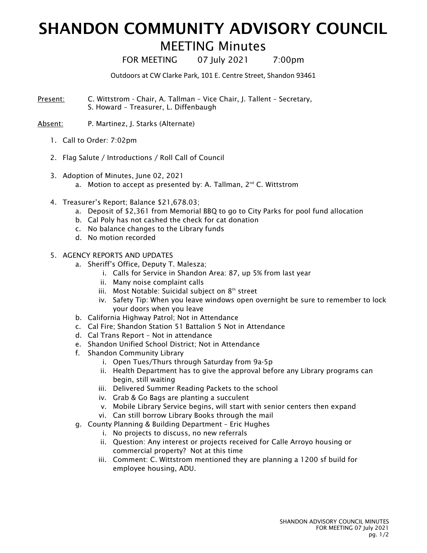## SHANDON COMMUNITY ADVISORY COUNCIL

## MEETING Minutes

FOR MEETING 07 July 2021 7:00pm

Outdoors at CW Clarke Park, 101 E. Centre Street, Shandon 93461

- Present: C. Wittstrom Chair, A. Tallman Vice Chair, J. Tallent Secretary, S. Howard – Treasurer, L. Diffenbaugh
- Absent: P. Martinez, J. Starks (Alternate)
	- 1. Call to Order: 7:02pm
	- 2. Flag Salute / Introductions / Roll Call of Council
	- 3. Adoption of Minutes, June 02, 2021
		- a. Motion to accept as presented by: A. Tallman,  $2^{nd}$  C. Wittstrom
	- 4. Treasurer's Report; Balance \$21,678.03;
		- a. Deposit of \$2,361 from Memorial BBQ to go to City Parks for pool fund allocation
		- b. Cal Poly has not cashed the check for cat donation
		- c. No balance changes to the Library funds
		- d. No motion recorded
	- 5. AGENCY REPORTS AND UPDATES
		- a. Sheriff's Office, Deputy T. Malesza;
			- i. Calls for Service in Shandon Area: 87, up 5% from last year
			- ii. Many noise complaint calls
			- iii. Most Notable: Suicidal subject on  $8<sup>th</sup>$  street
			- iv. Safety Tip: When you leave windows open overnight be sure to remember to lock your doors when you leave
		- b. California Highway Patrol; Not in Attendance
		- c. Cal Fire; Shandon Station 51 Battalion 5 Not in Attendance
		- d. Cal Trans Report Not in attendance
		- e. Shandon Unified School District; Not in Attendance
		- f. Shandon Community Library
			- i. Open Tues/Thurs through Saturday from 9a-5p
			- ii. Health Department has to give the approval before any Library programs can begin, still waiting
			- iii. Delivered Summer Reading Packets to the school
			- iv. Grab & Go Bags are planting a succulent
			- v. Mobile Library Service begins, will start with senior centers then expand
			- vi. Can still borrow Library Books through the mail
		- g. County Planning & Building Department Eric Hughes
			- i. No projects to discuss, no new referrals
				- ii. Question: Any interest or projects received for Calle Arroyo housing or commercial property? Not at this time
			- iii. Comment: C. Wittstrom mentioned they are planning a 1200 sf build for employee housing, ADU.